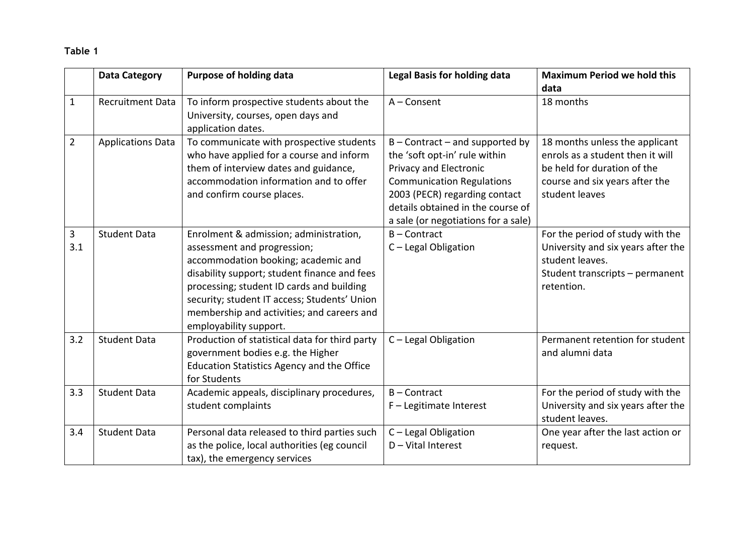## **Table 1**

|                | <b>Data Category</b>     | <b>Purpose of holding data</b>                                                                                                                                                                                                                                                                                                    | <b>Legal Basis for holding data</b>                                                                                                                                                                                                           | <b>Maximum Period we hold this</b><br>data                                                                                                            |
|----------------|--------------------------|-----------------------------------------------------------------------------------------------------------------------------------------------------------------------------------------------------------------------------------------------------------------------------------------------------------------------------------|-----------------------------------------------------------------------------------------------------------------------------------------------------------------------------------------------------------------------------------------------|-------------------------------------------------------------------------------------------------------------------------------------------------------|
| $\mathbf{1}$   | <b>Recruitment Data</b>  | To inform prospective students about the<br>University, courses, open days and<br>application dates.                                                                                                                                                                                                                              | $A$ – Consent                                                                                                                                                                                                                                 | 18 months                                                                                                                                             |
| $\overline{2}$ | <b>Applications Data</b> | To communicate with prospective students<br>who have applied for a course and inform<br>them of interview dates and guidance,<br>accommodation information and to offer<br>and confirm course places.                                                                                                                             | $B$ – Contract – and supported by<br>the 'soft opt-in' rule within<br>Privacy and Electronic<br><b>Communication Regulations</b><br>2003 (PECR) regarding contact<br>details obtained in the course of<br>a sale (or negotiations for a sale) | 18 months unless the applicant<br>enrols as a student then it will<br>be held for duration of the<br>course and six years after the<br>student leaves |
| 3<br>3.1       | <b>Student Data</b>      | Enrolment & admission; administration,<br>assessment and progression;<br>accommodation booking; academic and<br>disability support; student finance and fees<br>processing; student ID cards and building<br>security; student IT access; Students' Union<br>membership and activities; and careers and<br>employability support. | $B -$ Contract<br>C - Legal Obligation                                                                                                                                                                                                        | For the period of study with the<br>University and six years after the<br>student leaves.<br>Student transcripts - permanent<br>retention.            |
| 3.2            | <b>Student Data</b>      | Production of statistical data for third party<br>government bodies e.g. the Higher<br><b>Education Statistics Agency and the Office</b><br>for Students                                                                                                                                                                          | C - Legal Obligation                                                                                                                                                                                                                          | Permanent retention for student<br>and alumni data                                                                                                    |
| 3.3            | <b>Student Data</b>      | Academic appeals, disciplinary procedures,<br>student complaints                                                                                                                                                                                                                                                                  | $B -$ Contract<br>F - Legitimate Interest                                                                                                                                                                                                     | For the period of study with the<br>University and six years after the<br>student leaves.                                                             |
| 3.4            | <b>Student Data</b>      | Personal data released to third parties such<br>as the police, local authorities (eg council<br>tax), the emergency services                                                                                                                                                                                                      | C - Legal Obligation<br>$D - V$ ital Interest                                                                                                                                                                                                 | One year after the last action or<br>request.                                                                                                         |